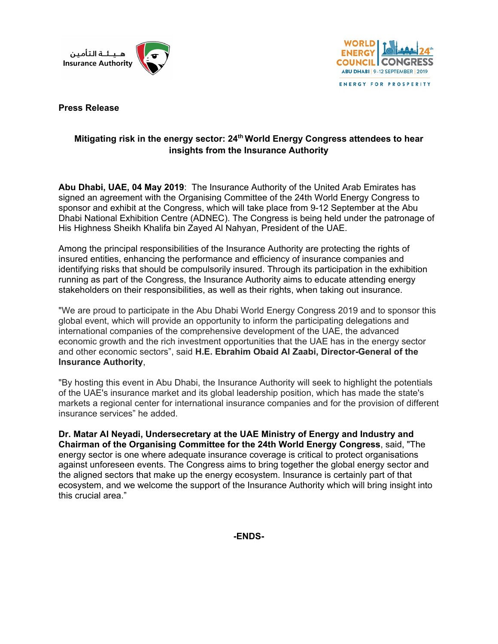



ENERGY FOR PROSPERITY

**Press Release**

## **Mitigating risk in the energy sector: 24th World Energy Congress attendees to hear insights from the Insurance Authority**

**Abu Dhabi, UAE, 04 May 2019**: The Insurance Authority of the United Arab Emirates has signed an agreement with the Organising Committee of the 24th World Energy Congress to sponsor and exhibit at the Congress, which will take place from 9-12 September at the Abu Dhabi National Exhibition Centre (ADNEC). The Congress is being held under the patronage of His Highness Sheikh Khalifa bin Zayed Al Nahyan, President of the UAE.

Among the principal responsibilities of the Insurance Authority are protecting the rights of insured entities, enhancing the performance and efficiency of insurance companies and identifying risks that should be compulsorily insured. Through its participation in the exhibition running as part of the Congress, the Insurance Authority aims to educate attending energy stakeholders on their responsibilities, as well as their rights, when taking out insurance.

"We are proud to participate in the Abu Dhabi World Energy Congress 2019 and to sponsor this global event, which will provide an opportunity to inform the participating delegations and international companies of the comprehensive development of the UAE, the advanced economic growth and the rich investment opportunities that the UAE has in the energy sector and other economic sectors", said **H.E. Ebrahim Obaid Al Zaabi, Director-General of the Insurance Authority**,

"By hosting this event in Abu Dhabi, the Insurance Authority will seek to highlight the potentials of the UAE's insurance market and its global leadership position, which has made the state's markets a regional center for international insurance companies and for the provision of different insurance services" he added.

**Dr. Matar Al Neyadi, Undersecretary at the UAE Ministry of Energy and Industry and Chairman of the Organising Committee for the 24th World Energy Congress**, said, "The energy sector is one where adequate insurance coverage is critical to protect organisations against unforeseen events. The Congress aims to bring together the global energy sector and the aligned sectors that make up the energy ecosystem. Insurance is certainly part of that ecosystem, and we welcome the support of the Insurance Authority which will bring insight into this crucial area."

**-ENDS-**